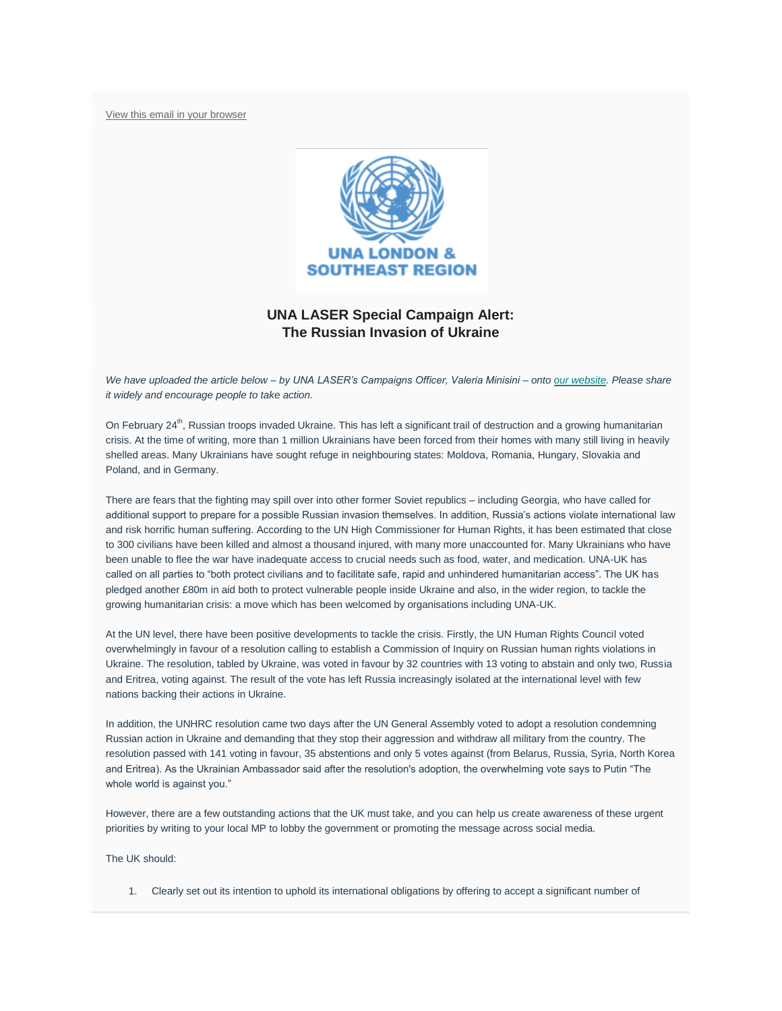[View this email in your browser](https://mailchi.mp/31d2140f4f39/laser-newsletter-november-20148065?e=7b19b52a1f)



## **UNA LASER Special Campaign Alert: The Russian Invasion of Ukraine**

*We have uploaded the article below – by UNA LASER's Campaigns Officer, Valeria Minisini – onto [our website.](https://unalaser.org/una-laser-special-campaign-alert-the-russian-invasion-of-ukraine) Please share it widely and encourage people to take action.*

On February  $24<sup>th</sup>$ , Russian troops invaded Ukraine. This has left a significant trail of destruction and a growing humanitarian crisis. At the time of writing, more than 1 million Ukrainians have been forced from their homes with many still living in heavily shelled areas. Many Ukrainians have sought refuge in neighbouring states: Moldova, Romania, Hungary, Slovakia and Poland, and in Germany.

There are fears that the fighting may spill over into other former Soviet republics – including Georgia, who have called for additional support to prepare for a possible Russian invasion themselves. In addition, Russia's actions violate international law and risk horrific human suffering. According to the UN High Commissioner for Human Rights, it has been estimated that close to 300 civilians have been killed and almost a thousand injured, with many more unaccounted for. Many Ukrainians who have been unable to flee the war have inadequate access to crucial needs such as food, water, and medication. UNA-UK has called on all parties to "both protect civilians and to facilitate safe, rapid and unhindered humanitarian access". The UK has pledged another £80m in aid both to protect vulnerable people inside Ukraine and also, in the wider region, to tackle the growing humanitarian crisis: a move which has been welcomed by organisations including UNA-UK.

At the UN level, there have been positive developments to tackle the crisis. Firstly, the UN Human Rights Council voted overwhelmingly in favour of a resolution calling to establish a Commission of Inquiry on Russian human rights violations in Ukraine. The resolution, tabled by Ukraine, was voted in favour by 32 countries with 13 voting to abstain and only two, Russia and Eritrea, voting against. The result of the vote has left Russia increasingly isolated at the international level with few nations backing their actions in Ukraine.

In addition, the UNHRC resolution came two days after the UN General Assembly voted to adopt a resolution condemning Russian action in Ukraine and demanding that they stop their aggression and withdraw all military from the country. The resolution passed with 141 voting in favour, 35 abstentions and only 5 votes against (from Belarus, Russia, Syria, North Korea and Eritrea). As the Ukrainian Ambassador said after the resolution's adoption, the overwhelming vote says to Putin "The whole world is against you."

However, there are a few outstanding actions that the UK must take, and you can help us create awareness of these urgent priorities by writing to your local MP to lobby the government or promoting the message across social media.

The UK should:

1. Clearly set out its intention to uphold its international obligations by offering to accept a significant number of